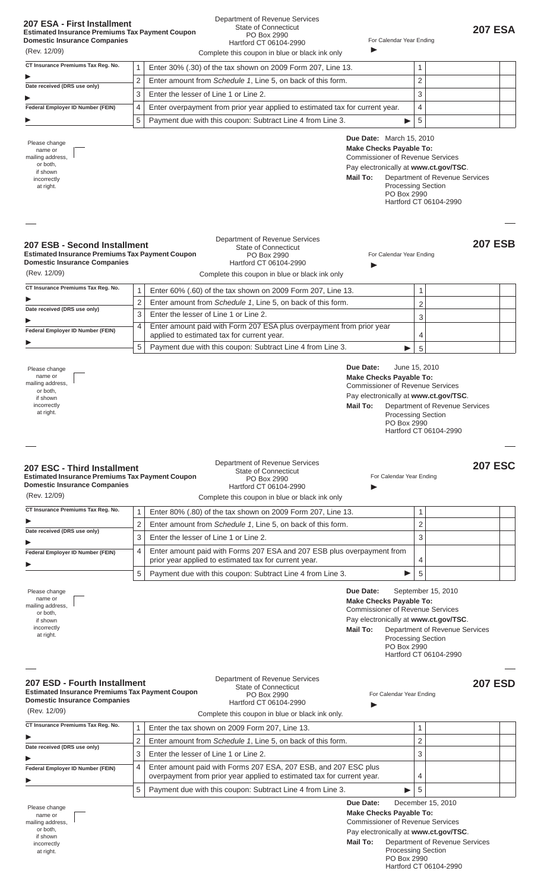|  |  |  |  | 207 ESA - First Installment |
|--|--|--|--|-----------------------------|
|--|--|--|--|-----------------------------|

# **Domestic Insurance Companies**

## Department of Revenue Services State of Connecticut PO Box 2990

| <b>Estimated Insurance Premiums Tax Payment Coupon</b>                                                                                                                                                                                                                                                                                                      |                                               | State of Connecticut<br>PO Box 2990                                                                                                                                                                                                                                                                                                                                                                                                                                                                                       |                                                                                                                                                                                               |                                                                                                          |                                                          | <b>207 ESA</b> |
|-------------------------------------------------------------------------------------------------------------------------------------------------------------------------------------------------------------------------------------------------------------------------------------------------------------------------------------------------------------|-----------------------------------------------|---------------------------------------------------------------------------------------------------------------------------------------------------------------------------------------------------------------------------------------------------------------------------------------------------------------------------------------------------------------------------------------------------------------------------------------------------------------------------------------------------------------------------|-----------------------------------------------------------------------------------------------------------------------------------------------------------------------------------------------|----------------------------------------------------------------------------------------------------------|----------------------------------------------------------|----------------|
| <b>Domestic Insurance Companies</b>                                                                                                                                                                                                                                                                                                                         |                                               | Hartford CT 06104-2990                                                                                                                                                                                                                                                                                                                                                                                                                                                                                                    | For Calendar Year Ending                                                                                                                                                                      |                                                                                                          |                                                          |                |
| (Rev. 12/09)                                                                                                                                                                                                                                                                                                                                                |                                               | Complete this coupon in blue or black ink only                                                                                                                                                                                                                                                                                                                                                                                                                                                                            |                                                                                                                                                                                               |                                                                                                          |                                                          |                |
| CT Insurance Premiums Tax Reg. No.                                                                                                                                                                                                                                                                                                                          | 1                                             | Enter 30% (.30) of the tax shown on 2009 Form 207, Line 13.                                                                                                                                                                                                                                                                                                                                                                                                                                                               |                                                                                                                                                                                               | 1                                                                                                        |                                                          |                |
| Date received (DRS use only)                                                                                                                                                                                                                                                                                                                                | $\overline{c}$                                | Enter amount from Schedule 1, Line 5, on back of this form.                                                                                                                                                                                                                                                                                                                                                                                                                                                               |                                                                                                                                                                                               | $\overline{2}$                                                                                           |                                                          |                |
|                                                                                                                                                                                                                                                                                                                                                             | 3                                             | Enter the lesser of Line 1 or Line 2.                                                                                                                                                                                                                                                                                                                                                                                                                                                                                     |                                                                                                                                                                                               | 3                                                                                                        |                                                          |                |
| Federal Employer ID Number (FEIN)                                                                                                                                                                                                                                                                                                                           | 4                                             | Enter overpayment from prior year applied to estimated tax for current year.                                                                                                                                                                                                                                                                                                                                                                                                                                              |                                                                                                                                                                                               | $\overline{\mathcal{L}}$                                                                                 |                                                          |                |
|                                                                                                                                                                                                                                                                                                                                                             | 5                                             | Payment due with this coupon: Subtract Line 4 from Line 3.                                                                                                                                                                                                                                                                                                                                                                                                                                                                |                                                                                                                                                                                               | 5                                                                                                        |                                                          |                |
| Please change<br>name or<br>mailing address,<br>or both.<br>if shown<br>incorrectly<br>at right.                                                                                                                                                                                                                                                            |                                               |                                                                                                                                                                                                                                                                                                                                                                                                                                                                                                                           | <b>Due Date:</b> March 15, 2010<br><b>Make Checks Payable To:</b><br><b>Commissioner of Revenue Services</b><br>Pay electronically at www.ct.gov/TSC.<br>Mail To:<br>PO Box 2990              | <b>Processing Section</b>                                                                                | Department of Revenue Services<br>Hartford CT 06104-2990 |                |
| 207 ESB - Second Installment<br><b>Estimated Insurance Premiums Tax Payment Coupon</b><br><b>Domestic Insurance Companies</b><br>(Rev. 12/09)                                                                                                                                                                                                               |                                               | Department of Revenue Services<br><b>State of Connecticut</b><br>PO Box 2990<br>Hartford CT 06104-2990<br>Complete this coupon in blue or black ink only                                                                                                                                                                                                                                                                                                                                                                  | For Calendar Year Ending                                                                                                                                                                      |                                                                                                          |                                                          | <b>207 ESB</b> |
| CT Insurance Premiums Tax Reg. No.                                                                                                                                                                                                                                                                                                                          | 1                                             | Enter 60% (.60) of the tax shown on 2009 Form 207, Line 13.                                                                                                                                                                                                                                                                                                                                                                                                                                                               |                                                                                                                                                                                               | 1                                                                                                        |                                                          |                |
|                                                                                                                                                                                                                                                                                                                                                             | $\overline{c}$                                | Enter amount from Schedule 1, Line 5, on back of this form.                                                                                                                                                                                                                                                                                                                                                                                                                                                               |                                                                                                                                                                                               | 2                                                                                                        |                                                          |                |
| Date received (DRS use only)                                                                                                                                                                                                                                                                                                                                | 3                                             | Enter the lesser of Line 1 or Line 2.                                                                                                                                                                                                                                                                                                                                                                                                                                                                                     |                                                                                                                                                                                               | 3                                                                                                        |                                                          |                |
| Federal Employer ID Number (FEIN)                                                                                                                                                                                                                                                                                                                           | 4                                             | Enter amount paid with Form 207 ESA plus overpayment from prior year                                                                                                                                                                                                                                                                                                                                                                                                                                                      |                                                                                                                                                                                               |                                                                                                          |                                                          |                |
|                                                                                                                                                                                                                                                                                                                                                             | 5                                             | applied to estimated tax for current year.<br>Payment due with this coupon: Subtract Line 4 from Line 3.                                                                                                                                                                                                                                                                                                                                                                                                                  |                                                                                                                                                                                               | 4                                                                                                        |                                                          |                |
| Please change<br>name or<br>mailing address,<br>or both,<br>if shown<br>incorrectly<br>at right.<br>207 ESC - Third Installment<br><b>Estimated Insurance Premiums Tax Payment Coupon</b><br><b>Domestic Insurance Companies</b><br>(Rev. 12/09)<br>CT Insurance Premiums Tax Reg. No.<br>Date received (DRS use only)<br>Federal Employer ID Number (FEIN) | $\mathbf{1}$<br>$\overline{2}$<br>3<br>4<br>5 | Department of Revenue Services<br>State of Connecticut<br>PO Box 2990<br>Hartford CT 06104-2990<br>Complete this coupon in blue or black ink only<br>Enter 80% (.80) of the tax shown on 2009 Form 207, Line 13.<br>Enter amount from Schedule 1, Line 5, on back of this form.<br>Enter the lesser of Line 1 or Line 2.<br>Enter amount paid with Forms 207 ESA and 207 ESB plus overpayment from<br>prior year applied to estimated tax for current year.<br>Payment due with this coupon: Subtract Line 4 from Line 3. | Due Date:<br><b>Make Checks Payable To:</b><br><b>Commissioner of Revenue Services</b><br>Pay electronically at www.ct.gov/TSC.<br>Mail To:<br><b>PO BOX 2990</b><br>For Calendar Year Ending | June 15, 2010<br><b>Processing Section</b><br>$\mathbf{1}$<br>$\overline{2}$<br>3<br>$\overline{4}$<br>5 | Department of Revenue Services<br>Hartford CT 06104-2990 | <b>207 ESC</b> |
| Please change<br>name or<br>mailing address,<br>or both,<br>if shown<br>incorrectly<br>at right.<br>207 ESD - Fourth Installment<br><b>Estimated Insurance Premiums Tax Payment Coupon</b><br><b>Domestic Insurance Companies</b><br>(Rev. 12/09)<br>CT Insurance Premiums Tax Reg. No.<br>Date received (DRS use only)                                     | 1<br>2                                        | Department of Revenue Services<br><b>State of Connecticut</b><br>PO Box 2990<br>Hartford CT 06104-2990<br>Complete this coupon in blue or black ink only.<br>Enter the tax shown on 2009 Form 207, Line 13.<br>Enter amount from Schedule 1, Line 5, on back of this form.<br>Enter the lesser of Line 1 or Line 2.                                                                                                                                                                                                       | Due Date:<br><b>Make Checks Payable To:</b><br><b>Commissioner of Revenue Services</b><br>Pay electronically at www.ct.gov/TSC.<br>Mail To:<br>PO Box 2990<br>For Calendar Year Ending        | September 15, 2010<br><b>Processing Section</b><br>1<br>$\overline{2}$<br>3                              | Department of Revenue Services<br>Hartford CT 06104-2990 | <b>207 ESD</b> |
|                                                                                                                                                                                                                                                                                                                                                             | 3                                             |                                                                                                                                                                                                                                                                                                                                                                                                                                                                                                                           |                                                                                                                                                                                               |                                                                                                          |                                                          |                |
| Federal Employer ID Number (FEIN)                                                                                                                                                                                                                                                                                                                           | 4                                             | Enter amount paid with Forms 207 ESA, 207 ESB, and 207 ESC plus                                                                                                                                                                                                                                                                                                                                                                                                                                                           |                                                                                                                                                                                               |                                                                                                          |                                                          |                |
|                                                                                                                                                                                                                                                                                                                                                             |                                               | overpayment from prior year applied to estimated tax for current year.                                                                                                                                                                                                                                                                                                                                                                                                                                                    |                                                                                                                                                                                               | 4                                                                                                        |                                                          |                |
| Please change<br>name or<br>mailing address,<br>or both,<br>if shown<br>incorrectly<br>at right.                                                                                                                                                                                                                                                            | 5                                             | Payment due with this coupon: Subtract Line 4 from Line 3.                                                                                                                                                                                                                                                                                                                                                                                                                                                                | Due Date:<br><b>Make Checks Payable To:</b><br><b>Commissioner of Revenue Services</b><br>Pay electronically at www.ct.gov/TSC.<br>Mail To:<br>PO Box 2990                                    | 5<br>December 15, 2010<br><b>Processing Section</b>                                                      | Department of Revenue Services<br>Hartford CT 06104-2990 |                |